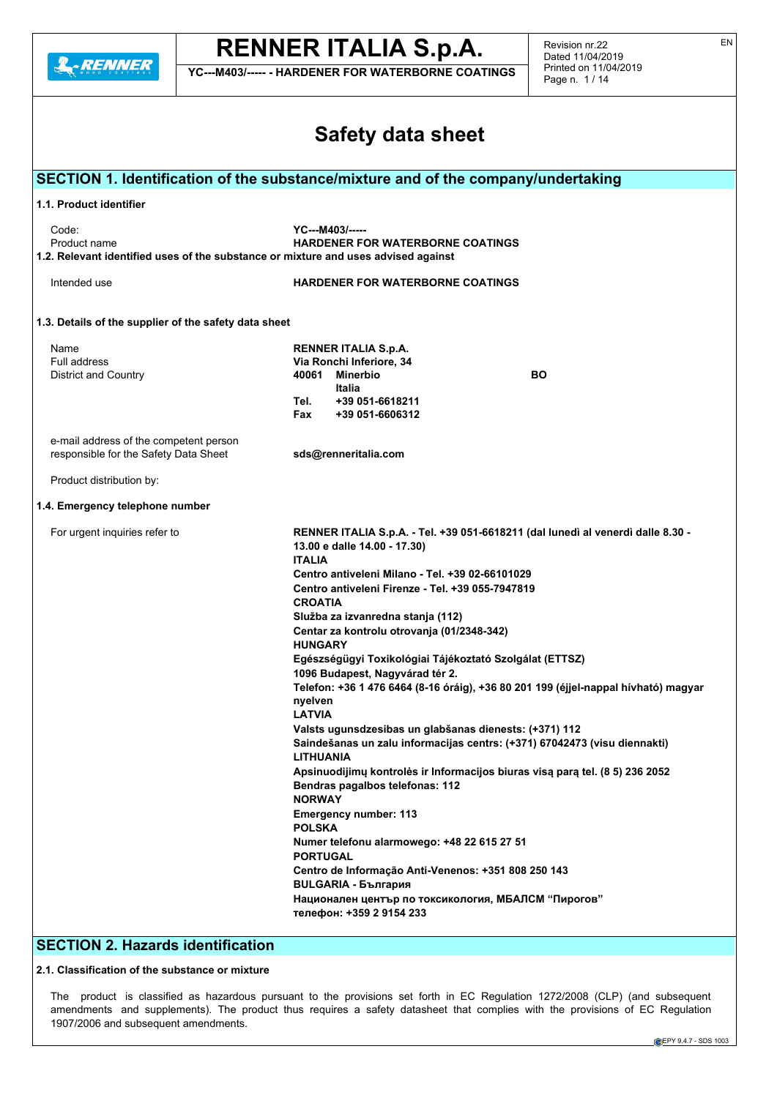

**YC---M403/----- - HARDENER FOR WATERBORNE COATINGS**

Revision nr.22 Dated 11/04/2019 Printed on 11/04/2019 Page n. 1 / 14

| <b>Safety data sheet</b>                                                                                    |                                                                                                                                  |  |  |  |  |  |  |  |  |
|-------------------------------------------------------------------------------------------------------------|----------------------------------------------------------------------------------------------------------------------------------|--|--|--|--|--|--|--|--|
|                                                                                                             | SECTION 1. Identification of the substance/mixture and of the company/undertaking                                                |  |  |  |  |  |  |  |  |
| 1.1. Product identifier                                                                                     |                                                                                                                                  |  |  |  |  |  |  |  |  |
| Code:<br>Product name<br>1.2. Relevant identified uses of the substance or mixture and uses advised against | YC---M403/-----<br><b>HARDENER FOR WATERBORNE COATINGS</b>                                                                       |  |  |  |  |  |  |  |  |
| Intended use                                                                                                | <b>HARDENER FOR WATERBORNE COATINGS</b>                                                                                          |  |  |  |  |  |  |  |  |
| 1.3. Details of the supplier of the safety data sheet                                                       |                                                                                                                                  |  |  |  |  |  |  |  |  |
| Name                                                                                                        | <b>RENNER ITALIA S.p.A.</b>                                                                                                      |  |  |  |  |  |  |  |  |
| Full address                                                                                                | Via Ronchi Inferiore, 34                                                                                                         |  |  |  |  |  |  |  |  |
| District and Country                                                                                        | 40061 Minerbio<br>BO                                                                                                             |  |  |  |  |  |  |  |  |
|                                                                                                             | Italia<br>Tel.<br>+39 051-6618211<br>Fax<br>+39 051-6606312                                                                      |  |  |  |  |  |  |  |  |
| e-mail address of the competent person<br>responsible for the Safety Data Sheet                             | sds@renneritalia.com                                                                                                             |  |  |  |  |  |  |  |  |
| Product distribution by:                                                                                    |                                                                                                                                  |  |  |  |  |  |  |  |  |
| 1.4. Emergency telephone number                                                                             |                                                                                                                                  |  |  |  |  |  |  |  |  |
| For urgent inquiries refer to                                                                               | RENNER ITALIA S.p.A. - Tel. +39 051-6618211 (dal lunedì al venerdì dalle 8.30 -<br>13.00 e dalle 14.00 - 17.30)<br><b>ITALIA</b> |  |  |  |  |  |  |  |  |
|                                                                                                             | Centro antiveleni Milano - Tel. +39 02-66101029<br>Centro antiveleni Firenze - Tel. +39 055-7947819<br><b>CROATIA</b>            |  |  |  |  |  |  |  |  |
|                                                                                                             | Služba za izvanredna stanja (112)                                                                                                |  |  |  |  |  |  |  |  |
|                                                                                                             | Centar za kontrolu otrovanja (01/2348-342)<br><b>HUNGARY</b>                                                                     |  |  |  |  |  |  |  |  |
|                                                                                                             | Egészségügyi Toxikológiai Tájékoztató Szolgálat (ETTSZ)<br>1096 Budapest, Nagyvárad tér 2.                                       |  |  |  |  |  |  |  |  |
|                                                                                                             | Telefon: +36 1 476 6464 (8-16 óráig), +36 80 201 199 (éjjel-nappal hívható) magyar<br>nyelven                                    |  |  |  |  |  |  |  |  |
|                                                                                                             | <b>LATVIA</b><br>Valsts ugunsdzesibas un glabšanas dienests: (+371) 112                                                          |  |  |  |  |  |  |  |  |
|                                                                                                             | Saindešanas un zalu informacijas centrs: (+371) 67042473 (visu diennakti)<br><b>LITHUANIA</b>                                    |  |  |  |  |  |  |  |  |
|                                                                                                             | Apsinuodijimų kontrolės ir Informacijos biuras visą parą tel. (8 5) 236 2052<br>Bendras pagalbos telefonas: 112<br><b>NORWAY</b> |  |  |  |  |  |  |  |  |
|                                                                                                             | <b>Emergency number: 113</b><br><b>POLSKA</b>                                                                                    |  |  |  |  |  |  |  |  |
|                                                                                                             | Numer telefonu alarmowego: +48 22 615 27 51<br><b>PORTUGAL</b>                                                                   |  |  |  |  |  |  |  |  |
|                                                                                                             | Centro de Informação Anti-Venenos: +351 808 250 143<br><b>BULGARIA - България</b>                                                |  |  |  |  |  |  |  |  |
|                                                                                                             | Национален център по токсикология, МБАЛСМ "Пирогов"<br>телефон: +359 2 9154 233                                                  |  |  |  |  |  |  |  |  |
|                                                                                                             |                                                                                                                                  |  |  |  |  |  |  |  |  |

## **SECTION 2. Hazards identification**

### **2.1. Classification of the substance or mixture**

The product is classified as hazardous pursuant to the provisions set forth in EC Regulation 1272/2008 (CLP) (and subsequent amendments and supplements). The product thus requires a safety datasheet that complies with the provisions of EC Regulation 1907/2006 and subsequent amendments.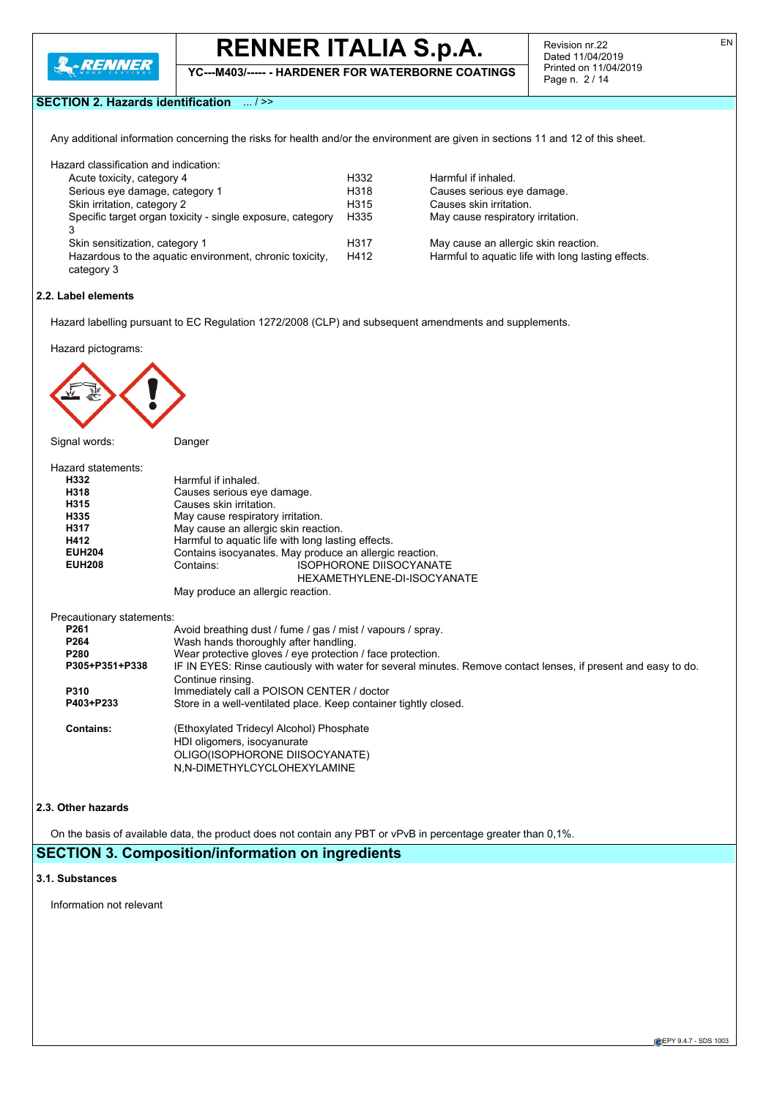

**YC---M403/----- - HARDENER FOR WATERBORNE COATINGS**

Revision nr.22 Dated 11/04/2019 Printed on 11/04/2019 Page n. 2 / 14

EN

### **SECTION 2. Hazards identification** ... / >>

Any additional information concerning the risks for health and/or the environment are given in sections 11 and 12 of this sheet.

| Hazard classification and indication:                      |                  |
|------------------------------------------------------------|------------------|
| Acute toxicity, category 4                                 | H332             |
| Serious eye damage, category 1                             | H <sub>318</sub> |
| Skin irritation, category 2                                | H <sub>315</sub> |
| Specific target organ toxicity - single exposure, category | H <sub>335</sub> |
| 3                                                          |                  |
| Skin sensitization, category 1                             | H317             |
| Hazardous to the aquatic environment, chronic toxicity,    | H412             |
| category 3                                                 |                  |

Harmful if inhaled. Causes serious eye damage. Causes skin irritation. May cause respiratory irritation.

May cause an allergic skin reaction. Harmful to aquatic life with long lasting effects.

#### **2.2. Label elements**

Hazard labelling pursuant to EC Regulation 1272/2008 (CLP) and subsequent amendments and supplements.

Hazard pictograms:



| Hazard statements:        |                                                             |
|---------------------------|-------------------------------------------------------------|
| H332                      | Harmful if inhaled.                                         |
| H318                      | Causes serious eye damage.                                  |
| H315                      | Causes skin irritation.                                     |
| H335                      | May cause respiratory irritation.                           |
| H317                      | May cause an allergic skin reaction.                        |
|                           |                                                             |
| H412                      | Harmful to aquatic life with long lasting effects.          |
| <b>EUH204</b>             | Contains isocyanates. May produce an allergic reaction.     |
| <b>EUH208</b>             | <b>ISOPHORONE DIISOCYANATE</b><br>Contains:                 |
|                           | HEXAMETHYLENE-DI-ISOCYANATE                                 |
|                           | May produce an allergic reaction.                           |
| Precautionary statements: |                                                             |
| P <sub>261</sub>          | Avoid breathing dust / fume / gas / mist / vapours / spray. |
| P264                      | Wash hands thoroughly after handling.                       |
| P280                      | Wear protective gloves / eye protection / face protection.  |

| <b>Trodi protocity giotoo</b> , ofo protocion , idoo protocion.                                                |
|----------------------------------------------------------------------------------------------------------------|
| IF IN EYES: Rinse cautiously with water for several minutes. Remove contact lenses, if present and easy to do. |
| Continue rinsing.                                                                                              |
| Immediately call a POISON CENTER / doctor                                                                      |
| Store in a well-ventilated place. Keep container tightly closed.                                               |
|                                                                                                                |

| <b>Contains:</b> | (Ethoxylated Tridecyl Alcohol) Phosphate |
|------------------|------------------------------------------|
|                  | HDI oligomers, isocyanurate              |
|                  | OLIGO(ISOPHORONE DIISOCYANATE)           |
|                  | N.N-DIMETHYLCYCLOHEXYLAMINE              |

#### **2.3. Other hazards**

On the basis of available data, the product does not contain any PBT or vPvB in percentage greater than 0,1%.

## **SECTION 3. Composition/information on ingredients**

#### **3.1. Substances**

Information not relevant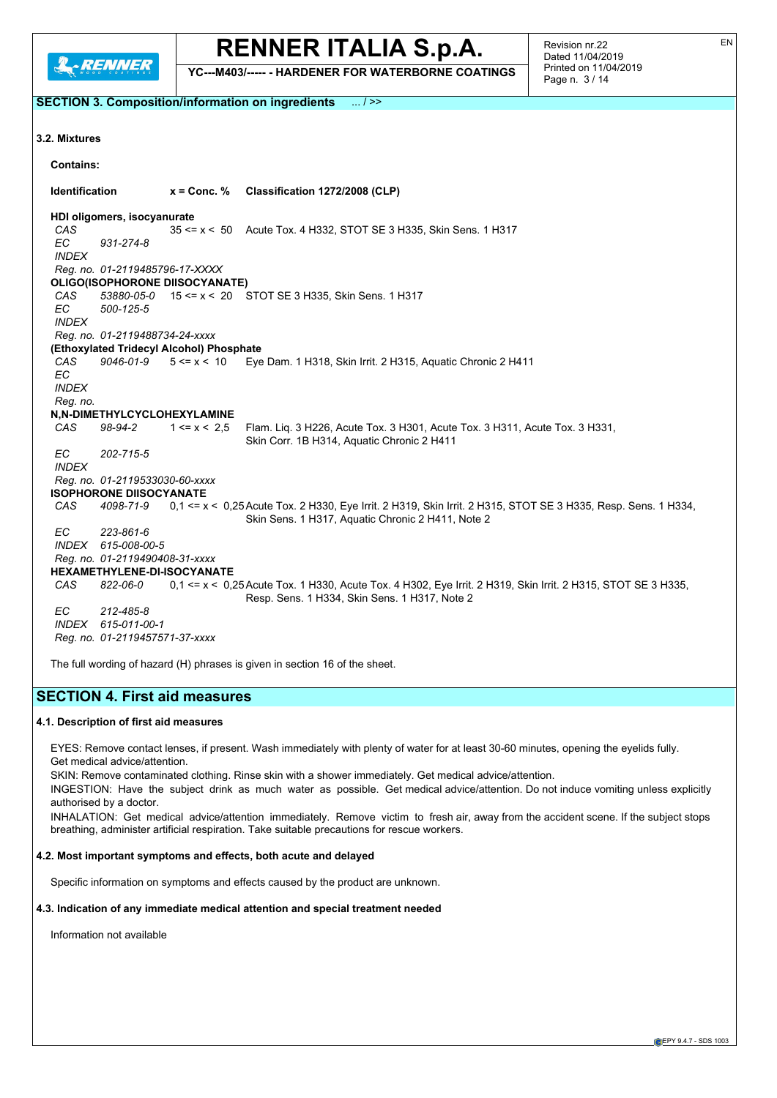

**SECTION 3. Composition/information on ingredients** ... / >>

## **RENNER ITALIA S.p.A.**

**YC---M403/----- - HARDENER FOR WATERBORNE COATINGS**

**3.2. Mixtures**

**Contains: Identification x = Conc. % Classification 1272/2008 (CLP) HDI oligomers, isocyanurate** *CAS* 35 <= x < 50 Acute Tox. 4 H332, STOT SE 3 H335, Skin Sens. 1 H317 *EC 931-274-8 INDEX Reg. no. 01-2119485796-17-XXXX* **OLIGO(ISOPHORONE DIISOCYANATE)** *CAS 53880-05-0* 15 <= x < 20 STOT SE 3 H335, Skin Sens. 1 H317 *EC 500-125-5 INDEX Reg. no. 01-2119488734-24-xxxx* **(Ethoxylated Tridecyl Alcohol) Phosphate** *CAS 9046-01-9* 5 <= x < 10 Eye Dam. 1 H318, Skin Irrit. 2 H315, Aquatic Chronic 2 H411 *EC INDEX Reg. no.* **N,N-DIMETHYLCYCLOHEXYLAMINE** *CAS 98-94-2* 1 <= x < 2,5 Flam. Liq. 3 H226, Acute Tox. 3 H301, Acute Tox. 3 H311, Acute Tox. 3 H331, Skin Corr. 1B H314, Aquatic Chronic 2 H411 *EC 202-715-5 INDEX Reg. no. 01-2119533030-60-xxxx* **ISOPHORONE DIISOCYANATE** *CAS 4098-71-9* 0,1 <= x < 0,25Acute Tox. 2 H330, Eye Irrit. 2 H319, Skin Irrit. 2 H315, STOT SE 3 H335, Resp. Sens. 1 H334, Skin Sens. 1 H317, Aquatic Chronic 2 H411, Note 2 *EC 223-861-6 INDEX 615-008-00-5 Reg. no. 01-2119490408-31-xxxx* **HEXAMETHYLENE-DI-ISOCYANATE** *CAS 822-06-0* 0,1 <= x < 0,25Acute Tox. 1 H330, Acute Tox. 4 H302, Eye Irrit. 2 H319, Skin Irrit. 2 H315, STOT SE 3 H335, Resp. Sens. 1 H334, Skin Sens. 1 H317, Note 2 *EC 212-485-8 INDEX 615-011-00-1 Reg. no. 01-2119457571-37-xxxx*

The full wording of hazard (H) phrases is given in section 16 of the sheet.

## **SECTION 4. First aid measures**

#### **4.1. Description of first aid measures**

EYES: Remove contact lenses, if present. Wash immediately with plenty of water for at least 30-60 minutes, opening the eyelids fully. Get medical advice/attention.

SKIN: Remove contaminated clothing. Rinse skin with a shower immediately. Get medical advice/attention.

INGESTION: Have the subject drink as much water as possible. Get medical advice/attention. Do not induce vomiting unless explicitly authorised by a doctor.

INHALATION: Get medical advice/attention immediately. Remove victim to fresh air, away from the accident scene. If the subject stops breathing, administer artificial respiration. Take suitable precautions for rescue workers.

#### **4.2. Most important symptoms and effects, both acute and delayed**

Specific information on symptoms and effects caused by the product are unknown.

#### **4.3. Indication of any immediate medical attention and special treatment needed**

Information not available

EN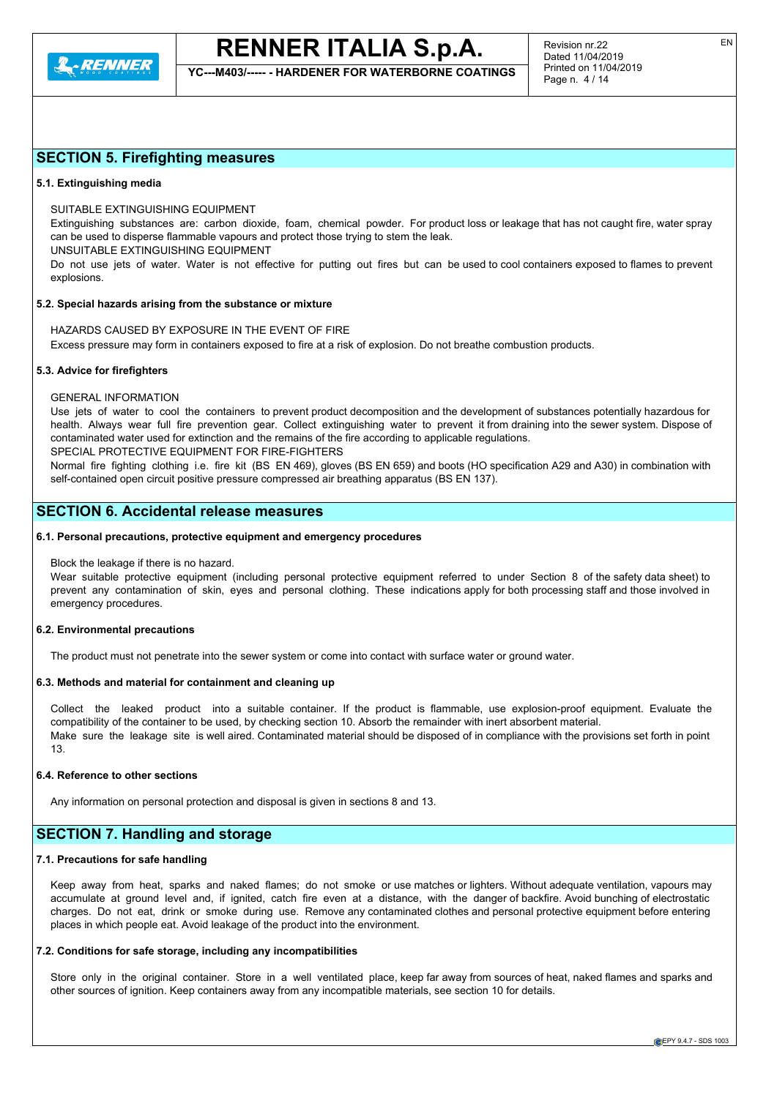

**YC---M403/----- - HARDENER FOR WATERBORNE COATINGS**

## **SECTION 5. Firefighting measures**

#### **5.1. Extinguishing media**

SUITABLE EXTINGUISHING EQUIPMENT

Extinguishing substances are: carbon dioxide, foam, chemical powder. For product loss or leakage that has not caught fire, water spray can be used to disperse flammable vapours and protect those trying to stem the leak.

UNSUITABLE EXTINGUISHING EQUIPMENT

Do not use jets of water. Water is not effective for putting out fires but can be used to cool containers exposed to flames to prevent explosions.

#### **5.2. Special hazards arising from the substance or mixture**

HAZARDS CAUSED BY EXPOSURE IN THE EVENT OF FIRE Excess pressure may form in containers exposed to fire at a risk of explosion. Do not breathe combustion products.

#### **5.3. Advice for firefighters**

#### GENERAL INFORMATION

Use jets of water to cool the containers to prevent product decomposition and the development of substances potentially hazardous for health. Always wear full fire prevention gear. Collect extinguishing water to prevent it from draining into the sewer system. Dispose of contaminated water used for extinction and the remains of the fire according to applicable regulations.

SPECIAL PROTECTIVE EQUIPMENT FOR FIRE-FIGHTERS

Normal fire fighting clothing i.e. fire kit (BS EN 469), gloves (BS EN 659) and boots (HO specification A29 and A30) in combination with self-contained open circuit positive pressure compressed air breathing apparatus (BS EN 137).

## **SECTION 6. Accidental release measures**

#### **6.1. Personal precautions, protective equipment and emergency procedures**

#### Block the leakage if there is no hazard.

Wear suitable protective equipment (including personal protective equipment referred to under Section 8 of the safety data sheet) to prevent any contamination of skin, eyes and personal clothing. These indications apply for both processing staff and those involved in emergency procedures.

#### **6.2. Environmental precautions**

The product must not penetrate into the sewer system or come into contact with surface water or ground water.

#### **6.3. Methods and material for containment and cleaning up**

Collect the leaked product into a suitable container. If the product is flammable, use explosion-proof equipment. Evaluate the compatibility of the container to be used, by checking section 10. Absorb the remainder with inert absorbent material. Make sure the leakage site is well aired. Contaminated material should be disposed of in compliance with the provisions set forth in point 13.

#### **6.4. Reference to other sections**

Any information on personal protection and disposal is given in sections 8 and 13.

### **SECTION 7. Handling and storage**

#### **7.1. Precautions for safe handling**

Keep away from heat, sparks and naked flames; do not smoke or use matches or lighters. Without adequate ventilation, vapours may accumulate at ground level and, if ignited, catch fire even at a distance, with the danger of backfire. Avoid bunching of electrostatic charges. Do not eat, drink or smoke during use. Remove any contaminated clothes and personal protective equipment before entering places in which people eat. Avoid leakage of the product into the environment.

#### **7.2. Conditions for safe storage, including any incompatibilities**

Store only in the original container. Store in a well ventilated place, keep far away from sources of heat, naked flames and sparks and other sources of ignition. Keep containers away from any incompatible materials, see section 10 for details.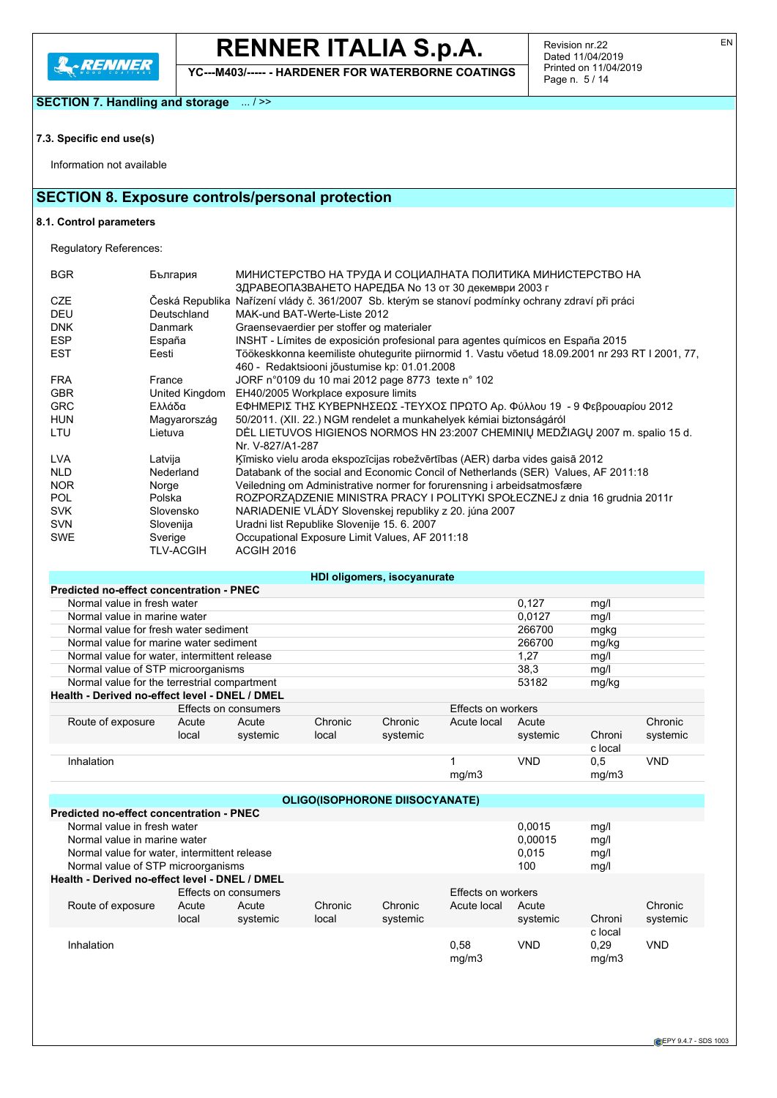

**YC---M403/----- - HARDENER FOR WATERBORNE COATINGS**

**SECTION 7. Handling and storage** ... / >>

## **7.3. Specific end use(s)**

Information not available

## **SECTION 8. Exposure controls/personal protection**

## **8.1. Control parameters**

Regulatory References:

| <b>BGR</b> | България       | МИНИСТЕРСТВО НА ТРУДА И СОЦИАЛНАТА ПОЛИТИКА МИНИСТЕРСТВО НА                                        |
|------------|----------------|----------------------------------------------------------------------------------------------------|
|            |                | ЗДРАВЕОПАЗВАНЕТО НАРЕДБА № 13 от 30 декември 2003 г                                                |
| <b>CZE</b> |                | Česká Republika Nařízení vlády č. 361/2007 Sb. kterým se stanoví podmínky ochrany zdraví při práci |
| <b>DEU</b> | Deutschland    | MAK-und BAT-Werte-Liste 2012                                                                       |
| <b>DNK</b> | Danmark        | Graensevaerdier per stoffer og materialer                                                          |
| <b>ESP</b> | España         | INSHT - Límites de exposición profesional para agentes guímicos en España 2015                     |
| <b>EST</b> | Eesti          | Töökeskkonna keemiliste ohutegurite piirnormid 1. Vastu võetud 18.09.2001 nr 293 RT I 2001, 77,    |
|            |                | 460 - Redaktsiooni jõustumise kp: 01.01.2008                                                       |
| <b>FRA</b> | France         | JORF n°0109 du 10 mai 2012 page 8773 texte n° 102                                                  |
| <b>GBR</b> | United Kingdom | EH40/2005 Workplace exposure limits                                                                |
| <b>GRC</b> | Ελλάδα         | ΕΦΗΜΕΡΙΣ ΤΗΣ ΚΥΒΕΡΝΗΣΕΩΣ -ΤΕΥΧΟΣ ΠΡΩΤΟ Αρ. Φύλλου 19 - 9 Φεβρουαρίου 2012                          |
| <b>HUN</b> | Magyarország   | 50/2011. (XII. 22.) NGM rendelet a munkahelyek kémiai biztonságáról                                |
| LTU        | Lietuva        | DEL LIETUVOS HIGIENOS NORMOS HN 23:2007 CHEMINIŲ MEDŽIAGŲ 2007 m. spalio 15 d.                     |
|            |                | Nr. V-827/A1-287                                                                                   |
| <b>LVA</b> | Latvija        | Ķīmisko vielu aroda ekspozīcijas robežvērtības (AER) darba vides gaisā 2012                        |
| NLD        | Nederland      | Databank of the social and Economic Concil of Netherlands (SER) Values, AF 2011:18                 |
| NOR.       | Norge          | Veiledning om Administrative normer for forurensning i arbeidsatmosfære                            |
| POL.       | Polska         | ROZPORZĄDZENIE MINISTRA PRACY I POLITYKI SPOŁECZNEJ z dnia 16 grudnia 2011r                        |
| <b>SVK</b> | Slovensko      | NARIADENIE VLÁDY Slovenskej republiky z 20. júna 2007                                              |
| <b>SVN</b> | Slovenija      | Uradni list Republike Slovenije 15. 6. 2007                                                        |
| <b>SWE</b> | Sverige        | Occupational Exposure Limit Values, AF 2011:18                                                     |
|            | TLV-ACGIH      | ACGIH 2016                                                                                         |

|                                                |       |                      |         | HDI oligomers, isocyanurate |                    |            |         |          |  |  |  |
|------------------------------------------------|-------|----------------------|---------|-----------------------------|--------------------|------------|---------|----------|--|--|--|
| Predicted no-effect concentration - PNEC       |       |                      |         |                             |                    |            |         |          |  |  |  |
| Normal value in fresh water<br>0,127<br>mg/l   |       |                      |         |                             |                    |            |         |          |  |  |  |
| Normal value in marine water                   |       |                      |         | 0.0127                      | mg/l               |            |         |          |  |  |  |
| Normal value for fresh water sediment          |       |                      |         |                             |                    | 266700     | mgkg    |          |  |  |  |
| Normal value for marine water sediment         |       |                      |         |                             |                    | 266700     | mg/kg   |          |  |  |  |
| Normal value for water, intermittent release   | mg/l  |                      |         |                             |                    |            |         |          |  |  |  |
| Normal value of STP microorganisms             |       |                      |         |                             |                    | 38.3       | mg/l    |          |  |  |  |
| Normal value for the terrestrial compartment   |       |                      |         |                             |                    | 53182      | mg/kg   |          |  |  |  |
| Health - Derived no-effect level - DNEL / DMEL |       |                      |         |                             |                    |            |         |          |  |  |  |
|                                                |       | Effects on consumers |         |                             | Effects on workers |            |         |          |  |  |  |
| Route of exposure                              | Acute | Acute                | Chronic | Chronic                     | Acute local        | Acute      |         | Chronic  |  |  |  |
|                                                | local | systemic             | local   | systemic                    |                    | systemic   | Chroni  | systemic |  |  |  |
|                                                |       |                      |         |                             |                    |            | c local |          |  |  |  |
| Inhalation                                     |       |                      |         |                             | 1                  | <b>VND</b> | 0.5     | VND      |  |  |  |
|                                                |       |                      |         |                             | mq/m3              |            | mq/m3   |          |  |  |  |

| <b>OLIGO(ISOPHORONE DIISOCYANATE)</b>          |       |                    |         |          |             |            |         |            |  |  |
|------------------------------------------------|-------|--------------------|---------|----------|-------------|------------|---------|------------|--|--|
| Predicted no-effect concentration - PNEC       |       |                    |         |          |             |            |         |            |  |  |
| Normal value in fresh water<br>0.0015<br>mg/l  |       |                    |         |          |             |            |         |            |  |  |
| Normal value in marine water                   |       |                    |         |          |             | 0.00015    | mg/l    |            |  |  |
| Normal value for water, intermittent release   |       |                    |         |          |             | 0.015      | mg/l    |            |  |  |
| Normal value of STP microorganisms             |       |                    |         |          |             | 100        | mg/l    |            |  |  |
| Health - Derived no-effect level - DNEL / DMEL |       |                    |         |          |             |            |         |            |  |  |
|                                                |       | Effects on workers |         |          |             |            |         |            |  |  |
| Route of exposure                              | Acute | Acute              | Chronic | Chronic  | Acute local | Acute      |         | Chronic    |  |  |
|                                                | local | systemic           | local   | systemic |             | systemic   | Chroni  | systemic   |  |  |
|                                                |       |                    |         |          |             |            | c local |            |  |  |
| Inhalation                                     |       |                    |         |          | 0.58        | <b>VND</b> | 0.29    | <b>VND</b> |  |  |
|                                                |       |                    |         |          | mq/m3       |            | mq/m3   |            |  |  |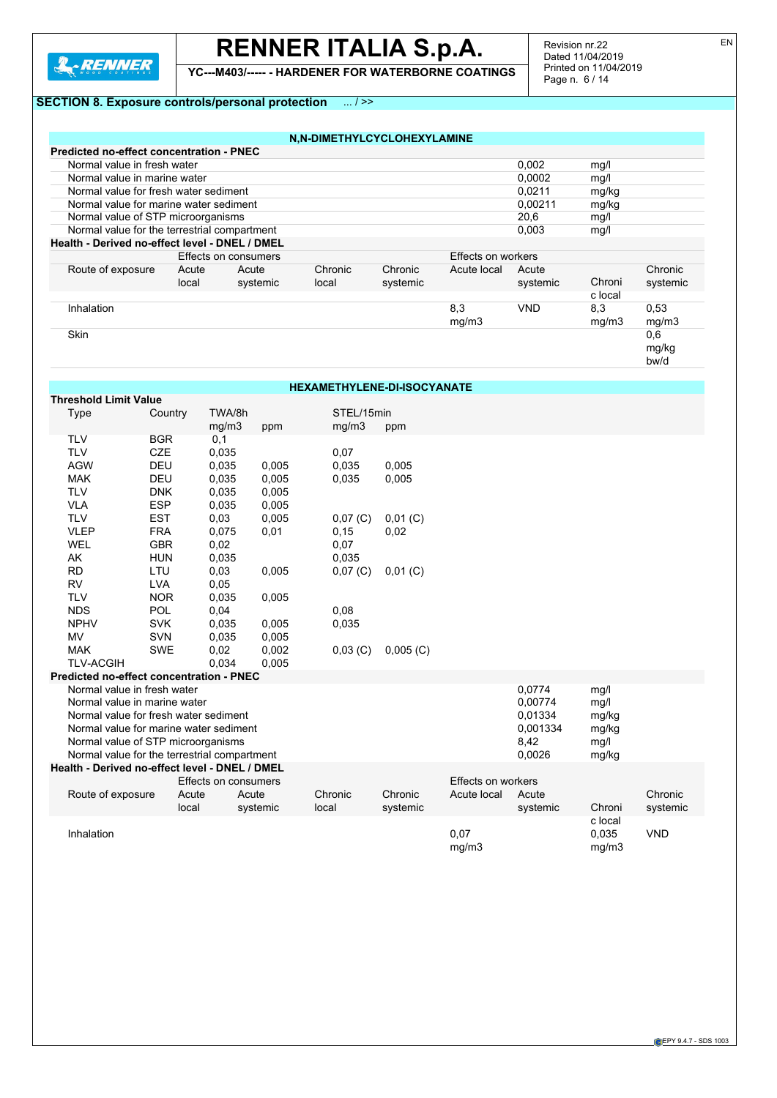

# **RENNER ITALIA S.p.A.**

**YC---M403/----- - HARDENER FOR WATERBORNE COATINGS**

Revision nr.22 Dated 11/04/2019 Printed on 11/04/2019 Page n. 6 / 14

bw/d

### **SECTION 8. Exposure controls/personal**

| <b>ECTION 8. Exposure controls/personal protection</b><br>$\ldots$ / >> |        |       |  |
|-------------------------------------------------------------------------|--------|-------|--|
|                                                                         |        |       |  |
|                                                                         |        |       |  |
| N.N-DIMETHYLCYCLOHEXYLAMINE                                             |        |       |  |
| <b>Predicted no-effect concentration - PNEC</b>                         |        |       |  |
| Normal value in fresh water                                             | 0.002  | mq/   |  |
| Normal value in marine water                                            | 0.0002 | mq/   |  |
| Normal value for fresh water sediment                                   | 0.0211 | mg/kg |  |

| Normal value for marine water sediment         |                |                      |                  |                     |                    | 0.00211           | mg/kg             |                     |
|------------------------------------------------|----------------|----------------------|------------------|---------------------|--------------------|-------------------|-------------------|---------------------|
| Normal value of STP microorganisms             |                |                      |                  |                     |                    | 20.6              | mg/l              |                     |
| Normal value for the terrestrial compartment   |                |                      |                  |                     |                    | 0,003             | mg/l              |                     |
| Health - Derived no-effect level - DNEL / DMEL |                |                      |                  |                     |                    |                   |                   |                     |
|                                                |                | Effects on consumers |                  |                     | Effects on workers |                   |                   |                     |
| Route of exposure                              | Acute<br>local | Acute<br>systemic    | Chronic<br>local | Chronic<br>systemic | Acute local        | Acute<br>systemic | Chroni<br>c local | Chronic<br>systemic |
| Inhalation                                     |                |                      |                  |                     | 8,3<br>mg/m3       | <b>VND</b>        | 8,3<br>mg/m3      | 0,53<br>mg/m3       |
| <b>Skin</b>                                    |                |                      |                  |                     |                    |                   |                   | 0,6<br>mg/kg        |

### **HEXAMETHYLENE-DI-ISOCYANATE**

| <b>Threshold Limit Value</b>                    |            |                      |          |            |             |                    |          |         |            |  |
|-------------------------------------------------|------------|----------------------|----------|------------|-------------|--------------------|----------|---------|------------|--|
| Type                                            | Country    | TWA/8h               |          | STEL/15min |             |                    |          |         |            |  |
|                                                 |            | mg/m3                | ppm      | mg/m3      | ppm         |                    |          |         |            |  |
| <b>TLV</b>                                      | <b>BGR</b> | 0,1                  |          |            |             |                    |          |         |            |  |
| <b>TLV</b>                                      | <b>CZE</b> | 0,035                |          | 0,07       |             |                    |          |         |            |  |
| <b>AGW</b>                                      | <b>DEU</b> | 0.035                | 0,005    | 0,035      | 0,005       |                    |          |         |            |  |
| <b>MAK</b>                                      | <b>DEU</b> | 0,035                | 0,005    | 0,035      | 0,005       |                    |          |         |            |  |
| <b>TLV</b>                                      | <b>DNK</b> | 0,035                | 0,005    |            |             |                    |          |         |            |  |
| <b>VLA</b>                                      | <b>ESP</b> | 0,035                | 0,005    |            |             |                    |          |         |            |  |
| <b>TLV</b>                                      | <b>EST</b> | 0,03                 | 0,005    | $0,07$ (C) | $0,01$ (C)  |                    |          |         |            |  |
| <b>VLEP</b>                                     | <b>FRA</b> | 0,075                | 0,01     | 0,15       | 0,02        |                    |          |         |            |  |
| <b>WEL</b>                                      | <b>GBR</b> | 0,02                 |          | 0,07       |             |                    |          |         |            |  |
| AK                                              | <b>HUN</b> | 0.035                |          | 0,035      |             |                    |          |         |            |  |
| <b>RD</b>                                       | LTU        | 0,03                 | 0,005    | 0,07 (C)   | $0,01$ (C)  |                    |          |         |            |  |
| <b>RV</b>                                       | <b>LVA</b> | 0,05                 |          |            |             |                    |          |         |            |  |
| <b>TLV</b>                                      | <b>NOR</b> | 0,035                | 0,005    |            |             |                    |          |         |            |  |
| <b>NDS</b>                                      | POL        | 0,04                 |          | 0,08       |             |                    |          |         |            |  |
| <b>NPHV</b>                                     | <b>SVK</b> | 0,035                | 0,005    | 0,035      |             |                    |          |         |            |  |
| MV                                              | <b>SVN</b> | 0,035                | 0,005    |            |             |                    |          |         |            |  |
| <b>MAK</b>                                      | SWE        | 0,02                 | 0,002    | 0,03()     | $0,005$ (C) |                    |          |         |            |  |
| <b>TLV-ACGIH</b>                                |            | 0,034                | 0,005    |            |             |                    |          |         |            |  |
| <b>Predicted no-effect concentration - PNEC</b> |            |                      |          |            |             |                    |          |         |            |  |
| Normal value in fresh water                     |            |                      |          |            |             |                    | 0,0774   | mg/l    |            |  |
| Normal value in marine water                    |            |                      |          |            |             |                    | 0,00774  | mg/l    |            |  |
| Normal value for fresh water sediment           |            |                      |          |            |             |                    | 0,01334  | mg/kg   |            |  |
| Normal value for marine water sediment          |            |                      |          |            |             |                    | 0.001334 | mg/kg   |            |  |
| Normal value of STP microorganisms              |            |                      |          |            |             |                    | 8,42     | mg/l    |            |  |
| Normal value for the terrestrial compartment    |            |                      |          |            |             |                    | 0,0026   | mg/kg   |            |  |
| Health - Derived no-effect level - DNEL / DMEL  |            |                      |          |            |             |                    |          |         |            |  |
|                                                 |            | Effects on consumers |          |            |             | Effects on workers |          |         |            |  |
| Route of exposure                               | Acute      | Acute                |          | Chronic    | Chronic     | Acute local        | Acute    |         | Chronic    |  |
|                                                 | local      |                      | systemic | local      | systemic    |                    | systemic | Chroni  | systemic   |  |
|                                                 |            |                      |          |            |             |                    |          | c local |            |  |
| Inhalation                                      |            |                      |          |            |             | 0,07               |          | 0,035   | <b>VND</b> |  |
|                                                 |            |                      |          |            |             | mg/m3              |          | mg/m3   |            |  |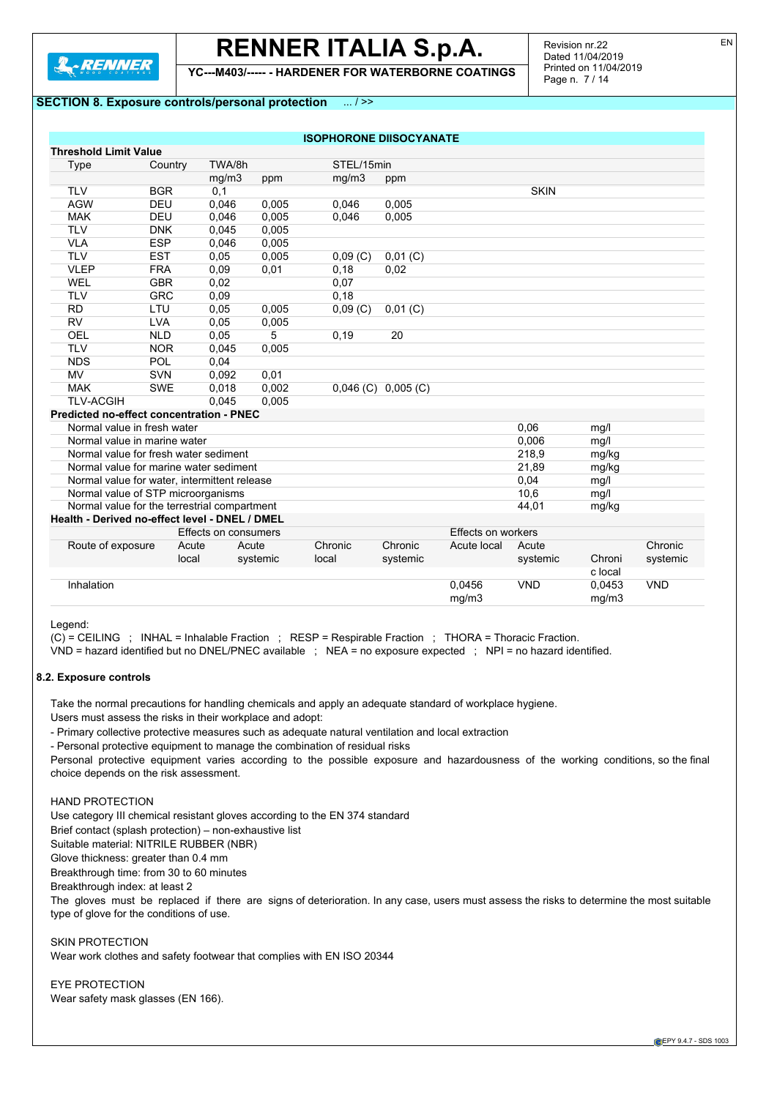

**YC---M403/----- - HARDENER FOR WATERBORNE COATINGS**

### **SECTION 8. Exposure controls/personal protection** ... / >>

|       |                                                                                                                                                                                                                                                                                            |                                                                                                                                                                                                                                                                                                                                     | mq/m3                                                                                                                                                                                                                                                                                                        | ppm                         |                                                  |                                               |                                                                |            |
|-------|--------------------------------------------------------------------------------------------------------------------------------------------------------------------------------------------------------------------------------------------------------------------------------------------|-------------------------------------------------------------------------------------------------------------------------------------------------------------------------------------------------------------------------------------------------------------------------------------------------------------------------------------|--------------------------------------------------------------------------------------------------------------------------------------------------------------------------------------------------------------------------------------------------------------------------------------------------------------|-----------------------------|--------------------------------------------------|-----------------------------------------------|----------------------------------------------------------------|------------|
|       |                                                                                                                                                                                                                                                                                            |                                                                                                                                                                                                                                                                                                                                     |                                                                                                                                                                                                                                                                                                              |                             |                                                  | <b>SKIN</b>                                   |                                                                |            |
|       |                                                                                                                                                                                                                                                                                            |                                                                                                                                                                                                                                                                                                                                     | 0.046                                                                                                                                                                                                                                                                                                        | 0.005                       |                                                  |                                               |                                                                |            |
|       |                                                                                                                                                                                                                                                                                            |                                                                                                                                                                                                                                                                                                                                     | 0,046                                                                                                                                                                                                                                                                                                        | 0,005                       |                                                  |                                               |                                                                |            |
|       |                                                                                                                                                                                                                                                                                            |                                                                                                                                                                                                                                                                                                                                     |                                                                                                                                                                                                                                                                                                              |                             |                                                  |                                               |                                                                |            |
|       |                                                                                                                                                                                                                                                                                            |                                                                                                                                                                                                                                                                                                                                     |                                                                                                                                                                                                                                                                                                              |                             |                                                  |                                               |                                                                |            |
|       |                                                                                                                                                                                                                                                                                            |                                                                                                                                                                                                                                                                                                                                     | 0.09(C)                                                                                                                                                                                                                                                                                                      | $0,01$ (C)                  |                                                  |                                               |                                                                |            |
|       |                                                                                                                                                                                                                                                                                            |                                                                                                                                                                                                                                                                                                                                     | 0.18                                                                                                                                                                                                                                                                                                         | 0,02                        |                                                  |                                               |                                                                |            |
|       |                                                                                                                                                                                                                                                                                            |                                                                                                                                                                                                                                                                                                                                     | 0,07                                                                                                                                                                                                                                                                                                         |                             |                                                  |                                               |                                                                |            |
|       |                                                                                                                                                                                                                                                                                            |                                                                                                                                                                                                                                                                                                                                     | 0,18                                                                                                                                                                                                                                                                                                         |                             |                                                  |                                               |                                                                |            |
|       |                                                                                                                                                                                                                                                                                            |                                                                                                                                                                                                                                                                                                                                     |                                                                                                                                                                                                                                                                                                              | $0,01$ (C)                  |                                                  |                                               |                                                                |            |
|       |                                                                                                                                                                                                                                                                                            |                                                                                                                                                                                                                                                                                                                                     |                                                                                                                                                                                                                                                                                                              |                             |                                                  |                                               |                                                                |            |
|       |                                                                                                                                                                                                                                                                                            | 5                                                                                                                                                                                                                                                                                                                                   | 0,19                                                                                                                                                                                                                                                                                                         | 20                          |                                                  |                                               |                                                                |            |
|       |                                                                                                                                                                                                                                                                                            |                                                                                                                                                                                                                                                                                                                                     |                                                                                                                                                                                                                                                                                                              |                             |                                                  |                                               |                                                                |            |
|       |                                                                                                                                                                                                                                                                                            |                                                                                                                                                                                                                                                                                                                                     |                                                                                                                                                                                                                                                                                                              |                             |                                                  |                                               |                                                                |            |
|       |                                                                                                                                                                                                                                                                                            |                                                                                                                                                                                                                                                                                                                                     |                                                                                                                                                                                                                                                                                                              |                             |                                                  |                                               |                                                                |            |
|       |                                                                                                                                                                                                                                                                                            |                                                                                                                                                                                                                                                                                                                                     |                                                                                                                                                                                                                                                                                                              |                             |                                                  |                                               |                                                                |            |
|       |                                                                                                                                                                                                                                                                                            |                                                                                                                                                                                                                                                                                                                                     |                                                                                                                                                                                                                                                                                                              |                             |                                                  |                                               |                                                                |            |
|       |                                                                                                                                                                                                                                                                                            |                                                                                                                                                                                                                                                                                                                                     |                                                                                                                                                                                                                                                                                                              |                             |                                                  |                                               |                                                                |            |
|       |                                                                                                                                                                                                                                                                                            |                                                                                                                                                                                                                                                                                                                                     |                                                                                                                                                                                                                                                                                                              |                             |                                                  | 0,06                                          | mg/l                                                           |            |
|       |                                                                                                                                                                                                                                                                                            |                                                                                                                                                                                                                                                                                                                                     |                                                                                                                                                                                                                                                                                                              |                             |                                                  |                                               | mg/l                                                           |            |
|       |                                                                                                                                                                                                                                                                                            |                                                                                                                                                                                                                                                                                                                                     |                                                                                                                                                                                                                                                                                                              |                             |                                                  |                                               | mg/kg                                                          |            |
|       |                                                                                                                                                                                                                                                                                            |                                                                                                                                                                                                                                                                                                                                     |                                                                                                                                                                                                                                                                                                              |                             |                                                  | 21,89                                         | mg/kg                                                          |            |
|       |                                                                                                                                                                                                                                                                                            |                                                                                                                                                                                                                                                                                                                                     |                                                                                                                                                                                                                                                                                                              |                             |                                                  | 0,04                                          | mg/l                                                           |            |
|       |                                                                                                                                                                                                                                                                                            |                                                                                                                                                                                                                                                                                                                                     |                                                                                                                                                                                                                                                                                                              |                             |                                                  |                                               | mg/l                                                           |            |
|       |                                                                                                                                                                                                                                                                                            |                                                                                                                                                                                                                                                                                                                                     |                                                                                                                                                                                                                                                                                                              |                             |                                                  |                                               | mg/kg                                                          |            |
|       |                                                                                                                                                                                                                                                                                            |                                                                                                                                                                                                                                                                                                                                     |                                                                                                                                                                                                                                                                                                              |                             |                                                  |                                               |                                                                |            |
|       |                                                                                                                                                                                                                                                                                            |                                                                                                                                                                                                                                                                                                                                     |                                                                                                                                                                                                                                                                                                              |                             |                                                  |                                               |                                                                |            |
|       |                                                                                                                                                                                                                                                                                            |                                                                                                                                                                                                                                                                                                                                     |                                                                                                                                                                                                                                                                                                              |                             |                                                  |                                               |                                                                | Chronic    |
| local |                                                                                                                                                                                                                                                                                            |                                                                                                                                                                                                                                                                                                                                     |                                                                                                                                                                                                                                                                                                              | systemic                    |                                                  | systemic                                      |                                                                | systemic   |
|       |                                                                                                                                                                                                                                                                                            |                                                                                                                                                                                                                                                                                                                                     |                                                                                                                                                                                                                                                                                                              |                             |                                                  |                                               | c local                                                        |            |
|       |                                                                                                                                                                                                                                                                                            |                                                                                                                                                                                                                                                                                                                                     |                                                                                                                                                                                                                                                                                                              |                             | 0,0456<br>mg/m3                                  | <b>VND</b>                                    | 0,0453<br>mg/m3                                                | <b>VND</b> |
|       | Country<br><b>BGR</b><br>DEU<br>DEU<br><b>DNK</b><br><b>ESP</b><br><b>EST</b><br><b>FRA</b><br><b>GBR</b><br><b>GRC</b><br>LTU<br><b>LVA</b><br><b>NLD</b><br><b>NOR</b><br><b>POL</b><br><b>SVN</b><br><b>SWE</b><br>Normal value in fresh water<br>Normal value in marine water<br>Acute | TWA/8h<br>mg/m3<br>0,1<br>0,046<br>0,046<br>0.045<br>0,046<br>0.05<br>0.09<br>0,02<br>0,09<br>0.05<br>0.05<br>0,05<br>0,045<br>0,04<br>0,092<br>0,018<br>0.045<br>Predicted no-effect concentration - PNEC<br>Normal value for fresh water sediment<br>Normal value for marine water sediment<br>Normal value of STP microorganisms | ppm<br>0,005<br>0,005<br>0,005<br>0,005<br>0,005<br>0.01<br>0,005<br>0,005<br>0,005<br>0,01<br>0,002<br>0,005<br>Normal value for water, intermittent release<br>Normal value for the terrestrial compartment<br>Health - Derived no-effect level - DNEL / DMEL<br>Effects on consumers<br>Acute<br>systemic | 0,09(C)<br>Chronic<br>local | STEL/15min<br>$0,046$ (C) $0,005$ (C)<br>Chronic | <b>ISOPHORONE DIISOCYANATE</b><br>Acute local | 0,006<br>218,9<br>10,6<br>44,01<br>Effects on workers<br>Acute | Chroni     |

Legend:

(C) = CEILING ; INHAL = Inhalable Fraction ; RESP = Respirable Fraction ; THORA = Thoracic Fraction.

VND = hazard identified but no DNEL/PNEC available ; NEA = no exposure expected ; NPI = no hazard identified.

#### **8.2. Exposure controls**

Take the normal precautions for handling chemicals and apply an adequate standard of workplace hygiene.

Users must assess the risks in their workplace and adopt:

- Primary collective protective measures such as adequate natural ventilation and local extraction

- Personal protective equipment to manage the combination of residual risks

Personal protective equipment varies according to the possible exposure and hazardousness of the working conditions, so the final choice depends on the risk assessment.

#### HAND PROTECTION

Use category III chemical resistant gloves according to the EN 374 standard

Brief contact (splash protection) – non-exhaustive list

Suitable material: NITRILE RUBBER (NBR)

Glove thickness: greater than 0.4 mm

Breakthrough time: from 30 to 60 minutes

Breakthrough index: at least 2

The gloves must be replaced if there are signs of deterioration. In any case, users must assess the risks to determine the most suitable type of glove for the conditions of use.

SKIN PROTECTION Wear work clothes and safety footwear that complies with EN ISO 20344

EYE PROTECTION Wear safety mask glasses (EN 166).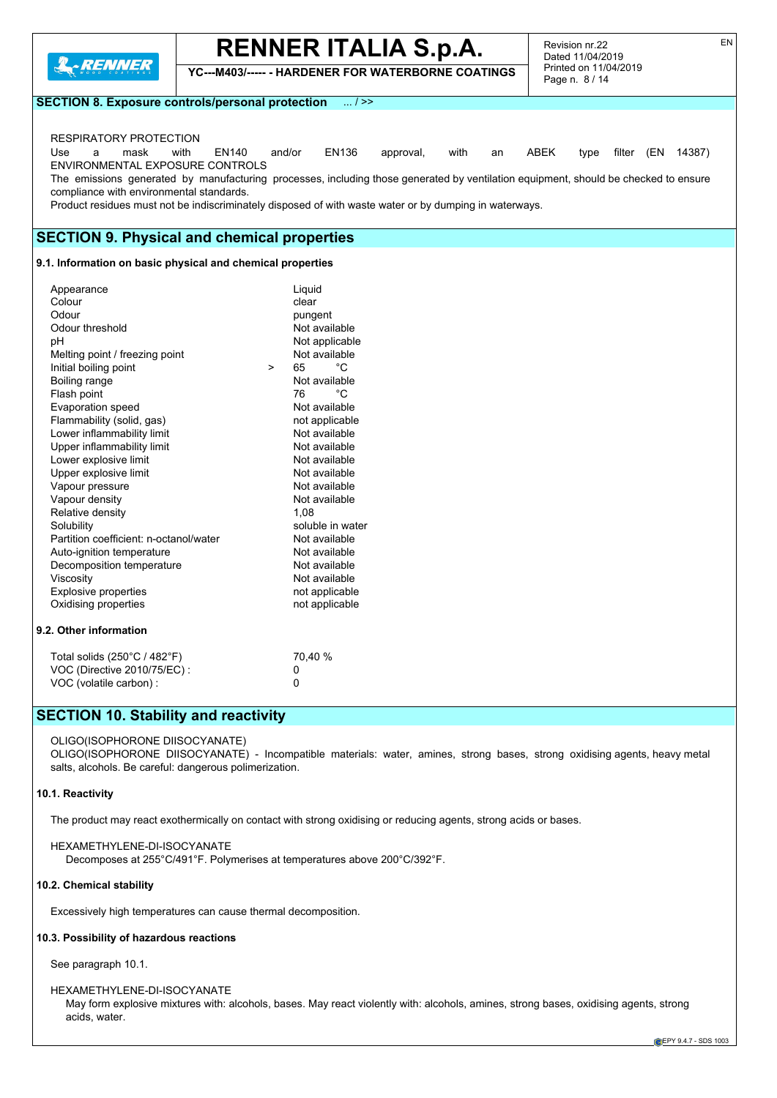

**YC---M403/----- - HARDENER FOR WATERBORNE COATINGS**

Revision nr.22 Dated 11/04/2019 Printed on 11/04/2019 Page n. 8 / 14

**SECTION 8. Exposure controls/personal protection** ... / >>

### RESPIRATORY PROTECTION

Use a mask with EN140 and/or EN136 approval, with an ABEK type filter (EN 14387) ENVIRONMENTAL EXPOSURE CONTROLS

The emissions generated by manufacturing processes, including those generated by ventilation equipment, should be checked to ensure compliance with environmental standards.

Product residues must not be indiscriminately disposed of with waste water or by dumping in waterways.

### **SECTION 9. Physical and chemical properties**

#### **9.1. Information on basic physical and chemical properties**

| Appearance                                    | Liguid             |  |
|-----------------------------------------------|--------------------|--|
| Colour                                        | clear              |  |
| Odour                                         | pungent            |  |
| Odour threshold                               | Not available      |  |
| рH                                            | Not applicable     |  |
| Melting point / freezing point                | Not available      |  |
| Initial boiling point                         | °C<br>65<br>$\geq$ |  |
| Boiling range                                 | Not available      |  |
| Flash point                                   | °C<br>76           |  |
| Evaporation speed                             | Not available      |  |
| Flammability (solid, gas)                     | not applicable     |  |
| Lower inflammability limit                    | Not available      |  |
| Upper inflammability limit                    | Not available      |  |
| Lower explosive limit                         | Not available      |  |
| Upper explosive limit                         | Not available      |  |
| Vapour pressure                               | Not available      |  |
| Vapour density                                | Not available      |  |
| Relative density<br>1.08                      |                    |  |
| Solubility<br>soluble in water                |                    |  |
| Partition coefficient: n-octanol/water        | Not available      |  |
| Auto-ignition temperature<br>Not available    |                    |  |
| Decomposition temperature                     | Not available      |  |
| Viscosity                                     | Not available      |  |
| <b>Explosive properties</b><br>not applicable |                    |  |
| Oxidising properties<br>not applicable        |                    |  |
| 9.2. Other information                        |                    |  |
| Total solids (250°C / 482°F)                  | 70,40 %            |  |
| VOC (Directive 2010/75/EC) :                  | 0                  |  |

## **SECTION 10. Stability and reactivity**

VOC (volatile carbon) : 0

#### OLIGO(ISOPHORONE DIISOCYANATE)

OLIGO(ISOPHORONE DIISOCYANATE) - Incompatible materials: water, amines, strong bases, strong oxidising agents, heavy metal salts, alcohols. Be careful: dangerous polimerization.

#### **10.1. Reactivity**

The product may react exothermically on contact with strong oxidising or reducing agents, strong acids or bases.

HEXAMETHYLENE-DI-ISOCYANATE Decomposes at 255°C/491°F. Polymerises at temperatures above 200°C/392°F.

#### **10.2. Chemical stability**

Excessively high temperatures can cause thermal decomposition.

#### **10.3. Possibility of hazardous reactions**

See paragraph 10.1.

#### HEXAMETHYLENE-DI-ISOCYANATE

May form explosive mixtures with: alcohols, bases. May react violently with: alcohols, amines, strong bases, oxidising agents, strong acids, water.

EN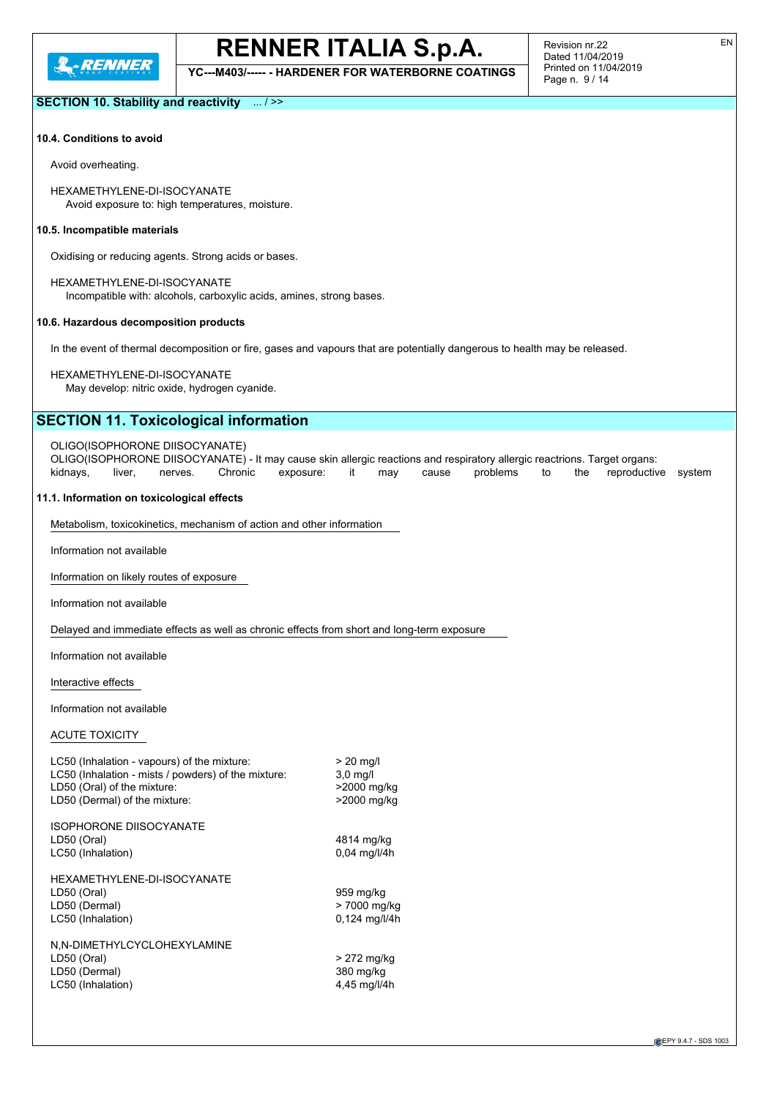

**YC---M403/----- - HARDENER FOR WATERBORNE COATINGS**

Revision nr.22 Dated 11/04/2019 Printed on 11/04/2019 Page n. 9 / 14

EN

### **SECTION 10. Stability and reactivity** ... / >>

#### **10.4. Conditions to avoid**

Avoid overheating.

HEXAMETHYLENE-DI-ISOCYANATE Avoid exposure to: high temperatures, moisture.

#### **10.5. Incompatible materials**

Oxidising or reducing agents. Strong acids or bases.

HEXAMETHYLENE-DI-ISOCYANATE Incompatible with: alcohols, carboxylic acids, amines, strong bases.

#### **10.6. Hazardous decomposition products**

In the event of thermal decomposition or fire, gases and vapours that are potentially dangerous to health may be released.

HEXAMETHYLENE-DI-ISOCYANATE

May develop: nitric oxide, hydrogen cyanide.

## **SECTION 11. Toxicological information**

#### OLIGO(ISOPHORONE DIISOCYANATE)

OLIGO(ISOPHORONE DIISOCYANATE) - It may cause skin allergic reactions and respiratory allergic reactrions. Target organs: kidnays, liver, nerves. Chronic exposure: it may cause problems to the reproductive system

#### **11.1. Information on toxicological effects**

Metabolism, toxicokinetics, mechanism of action and other information

Information not available

Information on likely routes of exposure

Information not available

Delayed and immediate effects as well as chronic effects from short and long-term exposure

Information not available

Interactive effects

Information not available

#### ACUTE TOXICITY

| LC50 (Inhalation - vapours) of the mixture:<br>LC50 (Inhalation - mists / powders) of the mixture:<br>LD50 (Oral) of the mixture:<br>LD50 (Dermal) of the mixture: | $> 20$ mg/l<br>$3.0$ mg/l<br>>2000 mg/kg<br>>2000 mg/kg |
|--------------------------------------------------------------------------------------------------------------------------------------------------------------------|---------------------------------------------------------|
| <b>ISOPHORONE DIISOCYANATE</b><br>LD50 (Oral)<br>LC50 (Inhalation)                                                                                                 | 4814 mg/kg<br>$0.04$ mg/l/4h                            |
| HEXAMETHYLENE-DI-ISOCYANATE<br>LD50 (Oral)<br>LD50 (Dermal)<br>LC50 (Inhalation)                                                                                   | 959 mg/kg<br>> 7000 mg/kg<br>0,124 mg/l/4h              |
| N,N-DIMETHYLCYCLOHEXYLAMINE<br>LD50 (Oral)<br>LD50 (Dermal)<br>LC50 (Inhalation)                                                                                   | > 272 mg/kg<br>380 mg/kg<br>4,45 mg/l/4h                |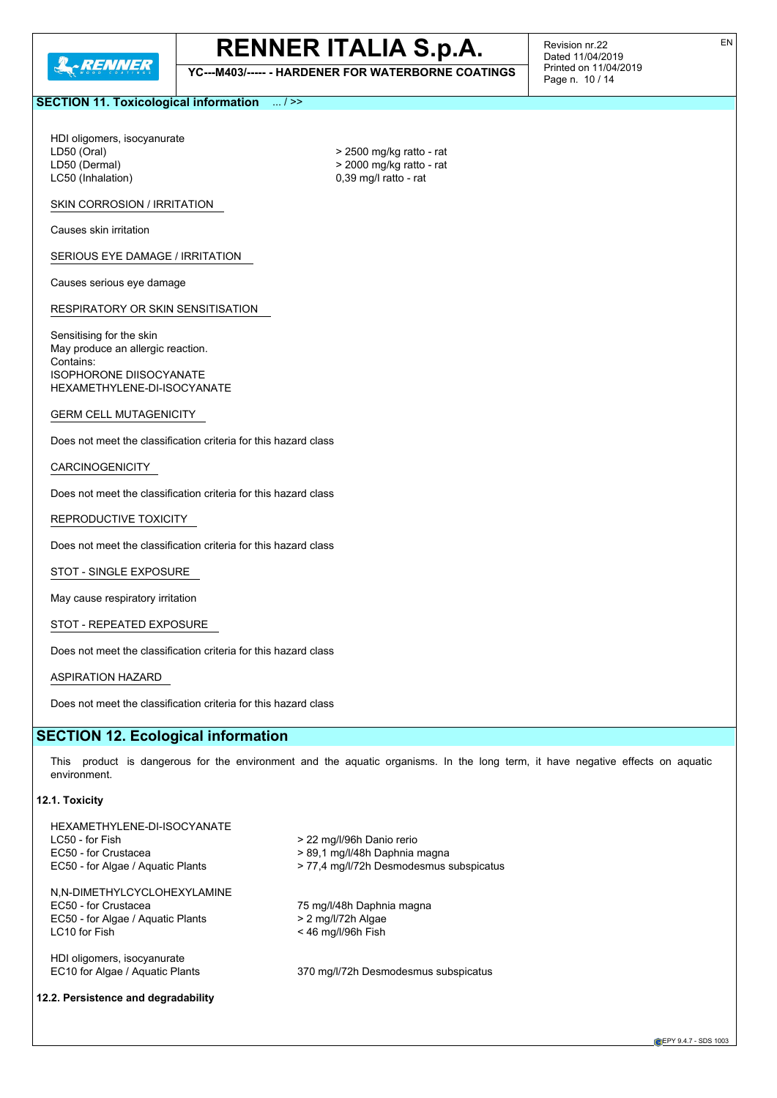

**YC---M403/----- - HARDENER FOR WATERBORNE COATINGS**

Revision nr.22 Dated 11/04/2019 Printed on 11/04/2019 Page n. 10 / 14

### **SECTION 11. Toxicological information** ... / >>

HDI oligomers, isocyanurate LD50 (Oral)  $> 2500$  mg/kg ratto - rat LD50 (Dermal)  $\geq 2000$  mg/kg ratto - rat<br>
LC50 (Inhalation)  $\geq 0.39$  mg/l ratto - rat

 $0,39$  mg/l ratto - rat

SKIN CORROSION / IRRITATION

Causes skin irritation

SERIOUS EYE DAMAGE / IRRITATION

Causes serious eye damage

RESPIRATORY OR SKIN SENSITISATION

Sensitising for the skin May produce an allergic reaction. Contains: ISOPHORONE DIISOCYANATE HEXAMETHYLENE-DI-ISOCYANATE

GERM CELL MUTAGENICITY

Does not meet the classification criteria for this hazard class

CARCINOGENICITY

Does not meet the classification criteria for this hazard class

REPRODUCTIVE TOXICITY

Does not meet the classification criteria for this hazard class

STOT - SINGLE EXPOSURE

May cause respiratory irritation

STOT - REPEATED EXPOSURE

Does not meet the classification criteria for this hazard class

ASPIRATION HAZARD

Does not meet the classification criteria for this hazard class

## **SECTION 12. Ecological information**

This product is dangerous for the environment and the aquatic organisms. In the long term, it have negative effects on aquatic environment.

#### **12.1. Toxicity**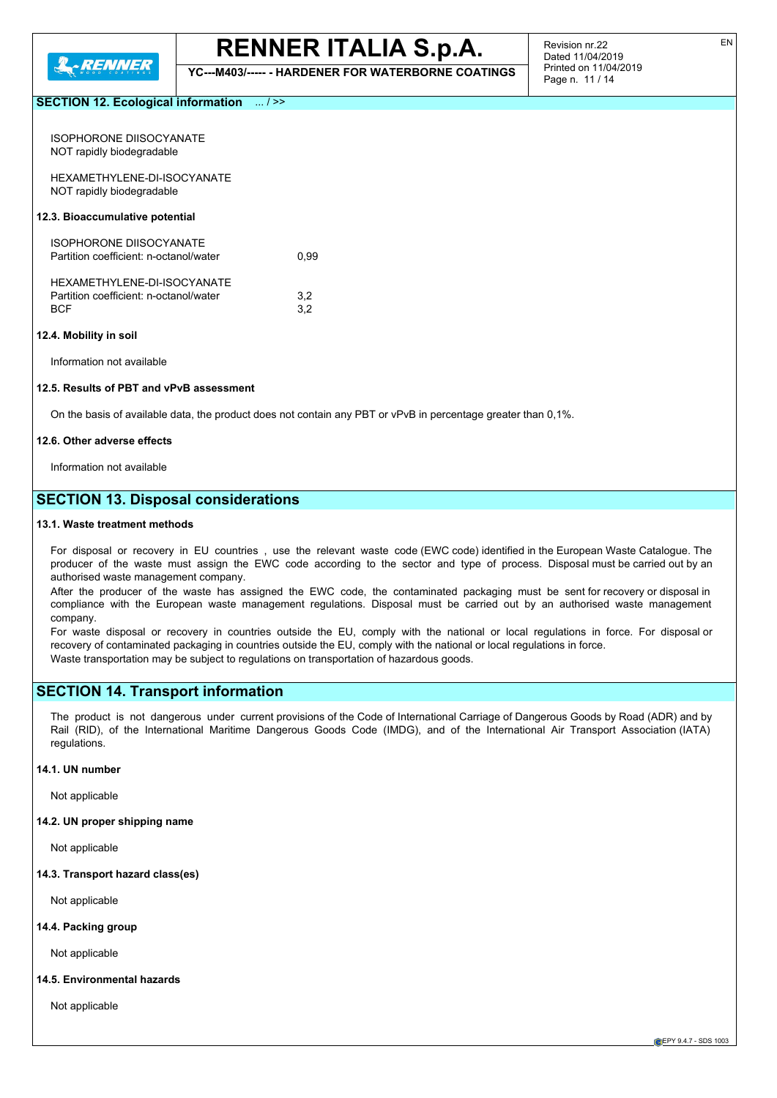

**YC---M403/----- - HARDENER FOR WATERBORNE COATINGS**

### **SECTION 12. Ecological information** ... / >>

| ISOPHORONE DIISOCYANATE<br>NOT rapidly biodegradable                         |            |
|------------------------------------------------------------------------------|------------|
| HEXAMETHYLENE-DI-ISOCYANATE<br>NOT rapidly biodegradable                     |            |
| 12.3. Bioaccumulative potential                                              |            |
| ISOPHORONE DIISOCYANATE<br>Partition coefficient: n-octanol/water            | 0.99       |
| HEXAMETHYLENE-DI-ISOCYANATE<br>Partition coefficient: n-octanol/water<br>BCF | 3,2<br>3.2 |

#### **12.4. Mobility in soil**

Information not available

#### **12.5. Results of PBT and vPvB assessment**

On the basis of available data, the product does not contain any PBT or vPvB in percentage greater than 0,1%.

#### **12.6. Other adverse effects**

Information not available

## **SECTION 13. Disposal considerations**

#### **13.1. Waste treatment methods**

For disposal or recovery in EU countries , use the relevant waste code (EWC code) identified in the European Waste Catalogue. The producer of the waste must assign the EWC code according to the sector and type of process. Disposal must be carried out by an authorised waste management company.

After the producer of the waste has assigned the EWC code, the contaminated packaging must be sent for recovery or disposal in compliance with the European waste management regulations. Disposal must be carried out by an authorised waste management company.

For waste disposal or recovery in countries outside the EU, comply with the national or local regulations in force. For disposal or recovery of contaminated packaging in countries outside the EU, comply with the national or local regulations in force. Waste transportation may be subject to regulations on transportation of hazardous goods.

#### **SECTION 14. Transport information**

The product is not dangerous under current provisions of the Code of International Carriage of Dangerous Goods by Road (ADR) and by Rail (RID), of the International Maritime Dangerous Goods Code (IMDG), and of the International Air Transport Association (IATA) regulations.

#### **14.1. UN number**

Not applicable

#### **14.2. UN proper shipping name**

Not applicable

#### **14.3. Transport hazard class(es)**

Not applicable

#### **14.4. Packing group**

Not applicable

#### **14.5. Environmental hazards**

Not applicable

**CEPY 9.4.7 - SDS 1003**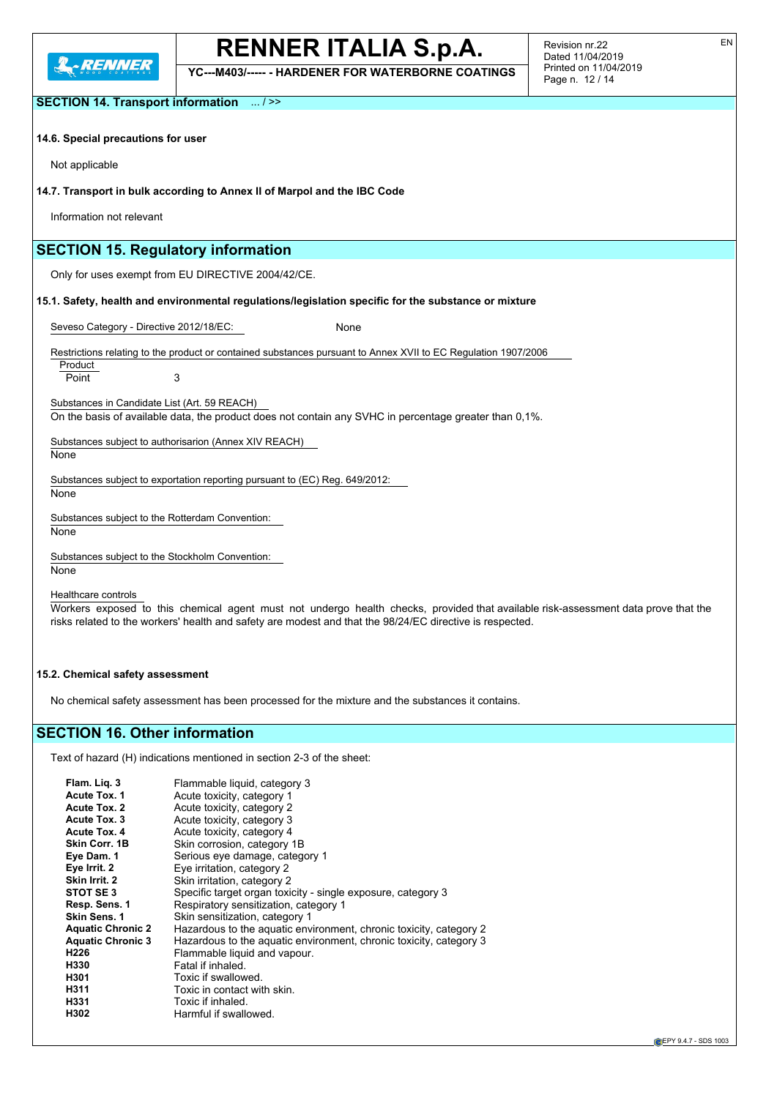

**YC---M403/----- - HARDENER FOR WATERBORNE COATINGS**

Revision nr.22 Dated 11/04/2019 Printed on 11/04/2019 Page n. 12 / 14

EN

**SECTION 14. Transport information** ... / >>

#### **14.6. Special precautions for user**

Not applicable

#### **14.7. Transport in bulk according to Annex II of Marpol and the IBC Code**

Information not relevant

## **SECTION 15. Regulatory information**

Only for uses exempt from EU DIRECTIVE 2004/42/CE.

**15.1. Safety, health and environmental regulations/legislation specific for the substance or mixture**

Seveso Category - Directive 2012/18/EC: None

Restrictions relating to the product or contained substances pursuant to Annex XVII to EC Regulation 1907/2006

Product Point 3

Substances in Candidate List (Art. 59 REACH)

On the basis of available data, the product does not contain any SVHC in percentage greater than 0,1%.

Substances subject to authorisarion (Annex XIV REACH)

**None** 

Substances subject to exportation reporting pursuant to (EC) Reg. 649/2012:

None

Substances subject to the Rotterdam Convention:

None

Substances subject to the Stockholm Convention: None

Healthcare controls

Workers exposed to this chemical agent must not undergo health checks, provided that available risk-assessment data prove that the risks related to the workers' health and safety are modest and that the 98/24/EC directive is respected.

#### **15.2. Chemical safety assessment**

No chemical safety assessment has been processed for the mixture and the substances it contains.

## **SECTION 16. Other information**

Text of hazard (H) indications mentioned in section 2-3 of the sheet:

| Flam. Lig. 3             | Flammable liquid, category 3                                       |
|--------------------------|--------------------------------------------------------------------|
| <b>Acute Tox. 1</b>      | Acute toxicity, category 1                                         |
| <b>Acute Tox. 2</b>      | Acute toxicity, category 2                                         |
| Acute Tox. 3             | Acute toxicity, category 3                                         |
| Acute Tox, 4             | Acute toxicity, category 4                                         |
| Skin Corr. 1B            | Skin corrosion, category 1B                                        |
| Eye Dam. 1               | Serious eye damage, category 1                                     |
| Eye Irrit. 2             | Eye irritation, category 2                                         |
| Skin Irrit. 2            | Skin irritation, category 2                                        |
| STOT SE3                 | Specific target organ toxicity - single exposure, category 3       |
| Resp. Sens. 1            | Respiratory sensitization, category 1                              |
| Skin Sens. 1             | Skin sensitization, category 1                                     |
| <b>Aquatic Chronic 2</b> | Hazardous to the aquatic environment, chronic toxicity, category 2 |
| <b>Aquatic Chronic 3</b> | Hazardous to the aquatic environment, chronic toxicity, category 3 |
| H <sub>226</sub>         | Flammable liquid and vapour.                                       |
| H330                     | Fatal if inhaled.                                                  |
| H301                     | Toxic if swallowed.                                                |
| H311                     | Toxic in contact with skin.                                        |
| H331                     | Toxic if inhaled.                                                  |
| H302                     | Harmful if swallowed.                                              |
|                          |                                                                    |

**CEPY 9.4.7 - SDS 1003**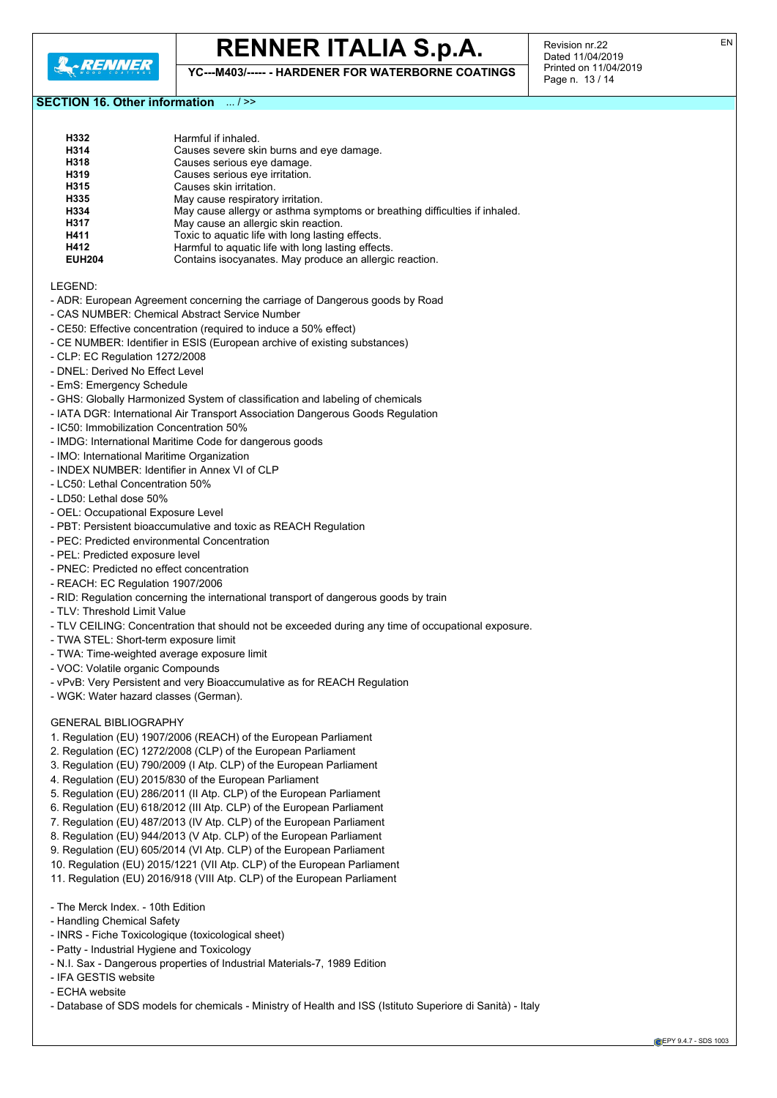

**YC---M403/----- - HARDENER FOR WATERBORNE COATINGS**

Revision nr.22 Dated 11/04/2019 Printed on 11/04/2019 Page n. 13 / 14

### **SECTION 16. Other information** ... / >>

| H332          | Harmful if inhaled.                                                          |
|---------------|------------------------------------------------------------------------------|
| H314          | Causes severe skin burns and eye damage.                                     |
| H318          | Causes serious eye damage.                                                   |
| H319          | Causes serious eye irritation.                                               |
| H315          | Causes skin irritation.                                                      |
| H335          | May cause respiratory irritation.                                            |
| H334          | May cause allergy or asthma symptoms or breathing difficulties if inhaled.   |
| H317          | May cause an allergic skin reaction.                                         |
| H411          | Toxic to aquatic life with long lasting effects.                             |
| H412          | Harmful to aquatic life with long lasting effects.                           |
| <b>EUH204</b> | Contains isocyanates. May produce an allergic reaction.                      |
| LEGEND:       |                                                                              |
|               | - ADR: European Agreement concerning the carriage of Dangerous goods by Road |
|               | - CAS NUMBER: Chemical Abstract Service Number                               |
|               | - CE50: Effective concentration (required to induce a 50% effect)            |
|               | - CE NUMBER: Identifier in ESIS (European archive of existing substances)    |

- CLP: EC Regulation 1272/2008
- DNEL: Derived No Effect Level
- EmS: Emergency Schedule
- GHS: Globally Harmonized System of classification and labeling of chemicals
- IATA DGR: International Air Transport Association Dangerous Goods Regulation
- IC50: Immobilization Concentration 50%
- IMDG: International Maritime Code for dangerous goods
- IMO: International Maritime Organization
- INDEX NUMBER: Identifier in Annex VI of CLP
- LC50: Lethal Concentration 50%
- LD50: Lethal dose 50%
- OEL: Occupational Exposure Level
- PBT: Persistent bioaccumulative and toxic as REACH Regulation
- PEC: Predicted environmental Concentration
- PEL: Predicted exposure level
- PNEC: Predicted no effect concentration
- REACH: EC Regulation 1907/2006
- RID: Regulation concerning the international transport of dangerous goods by train
- TLV: Threshold Limit Value
- TLV CEILING: Concentration that should not be exceeded during any time of occupational exposure.
- TWA STEL: Short-term exposure limit
- TWA: Time-weighted average exposure limit
- VOC: Volatile organic Compounds
- vPvB: Very Persistent and very Bioaccumulative as for REACH Regulation
- WGK: Water hazard classes (German).

#### GENERAL BIBLIOGRAPHY

- 1. Regulation (EU) 1907/2006 (REACH) of the European Parliament
- 2. Regulation (EC) 1272/2008 (CLP) of the European Parliament
- 3. Regulation (EU) 790/2009 (I Atp. CLP) of the European Parliament
- 4. Regulation (EU) 2015/830 of the European Parliament
- 5. Regulation (EU) 286/2011 (II Atp. CLP) of the European Parliament
- 6. Regulation (EU) 618/2012 (III Atp. CLP) of the European Parliament
- 7. Regulation (EU) 487/2013 (IV Atp. CLP) of the European Parliament
- 8. Regulation (EU) 944/2013 (V Atp. CLP) of the European Parliament
- 9. Regulation (EU) 605/2014 (VI Atp. CLP) of the European Parliament
- 10. Regulation (EU) 2015/1221 (VII Atp. CLP) of the European Parliament
- 11. Regulation (EU) 2016/918 (VIII Atp. CLP) of the European Parliament
- The Merck Index. 10th Edition
- Handling Chemical Safety
- INRS Fiche Toxicologique (toxicological sheet)
- Patty Industrial Hygiene and Toxicology
- N.I. Sax Dangerous properties of Industrial Materials-7, 1989 Edition
- IFA GESTIS website
- ECHA website
- Database of SDS models for chemicals Ministry of Health and ISS (Istituto Superiore di Sanità) Italy